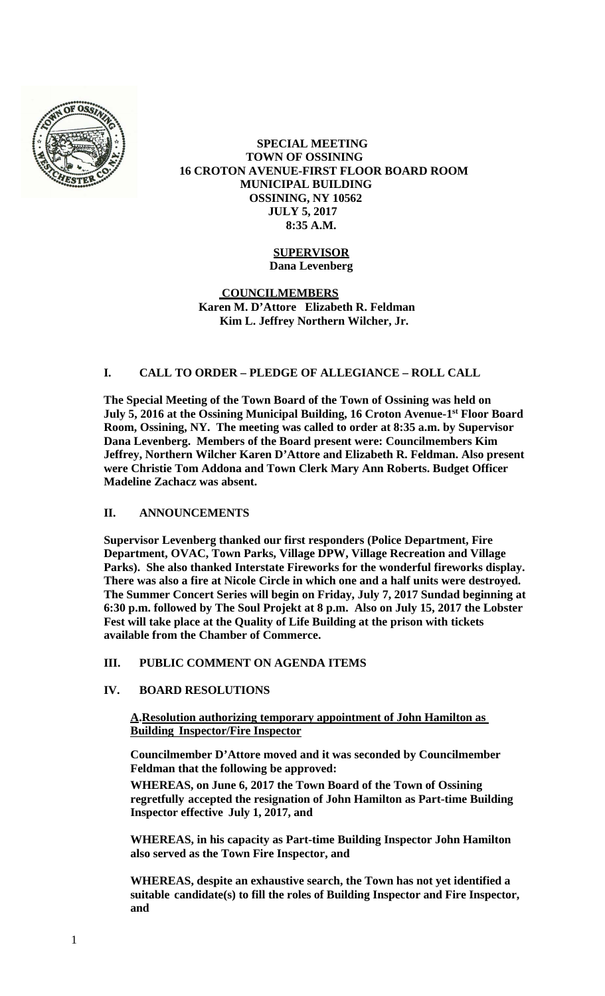

#### **SPECIAL MEETING TOWN OF OSSINING 16 CROTON AVENUE-FIRST FLOOR BOARD ROOM MUNICIPAL BUILDING OSSINING, NY 10562 JULY 5, 2017 8:35 A.M.**

# **SUPERVISOR**

**Dana Levenberg**

 **COUNCILMEMBERS Karen M. D'Attore Elizabeth R. Feldman Kim L. Jeffrey Northern Wilcher, Jr.**

## **I. CALL TO ORDER – PLEDGE OF ALLEGIANCE – ROLL CALL**

**The Special Meeting of the Town Board of the Town of Ossining was held on July 5, 2016 at the Ossining Municipal Building, 16 Croton Avenue-1st Floor Board Room, Ossining, NY. The meeting was called to order at 8:35 a.m. by Supervisor Dana Levenberg. Members of the Board present were: Councilmembers Kim Jeffrey, Northern Wilcher Karen D'Attore and Elizabeth R. Feldman. Also present were Christie Tom Addona and Town Clerk Mary Ann Roberts. Budget Officer Madeline Zachacz was absent.** 

## **II. ANNOUNCEMENTS**

**Supervisor Levenberg thanked our first responders (Police Department, Fire Department, OVAC, Town Parks, Village DPW, Village Recreation and Village Parks). She also thanked Interstate Fireworks for the wonderful fireworks display. There was also a fire at Nicole Circle in which one and a half units were destroyed. The Summer Concert Series will begin on Friday, July 7, 2017 Sundad beginning at 6:30 p.m. followed by The Soul Projekt at 8 p.m. Also on July 15, 2017 the Lobster Fest will take place at the Quality of Life Building at the prison with tickets available from the Chamber of Commerce.** 

## **III. PUBLIC COMMENT ON AGENDA ITEMS**

## **IV. BOARD RESOLUTIONS**

**A.Resolution authorizing temporary appointment of John Hamilton as Building Inspector/Fire Inspector**

**Councilmember D'Attore moved and it was seconded by Councilmember Feldman that the following be approved:** 

**WHEREAS, on June 6, 2017 the Town Board of the Town of Ossining regretfully accepted the resignation of John Hamilton as Part-time Building Inspector effective July 1, 2017, and**

**WHEREAS, in his capacity as Part-time Building Inspector John Hamilton also served as the Town Fire Inspector, and**

**WHEREAS, despite an exhaustive search, the Town has not yet identified a suitable candidate(s) to fill the roles of Building Inspector and Fire Inspector, and**